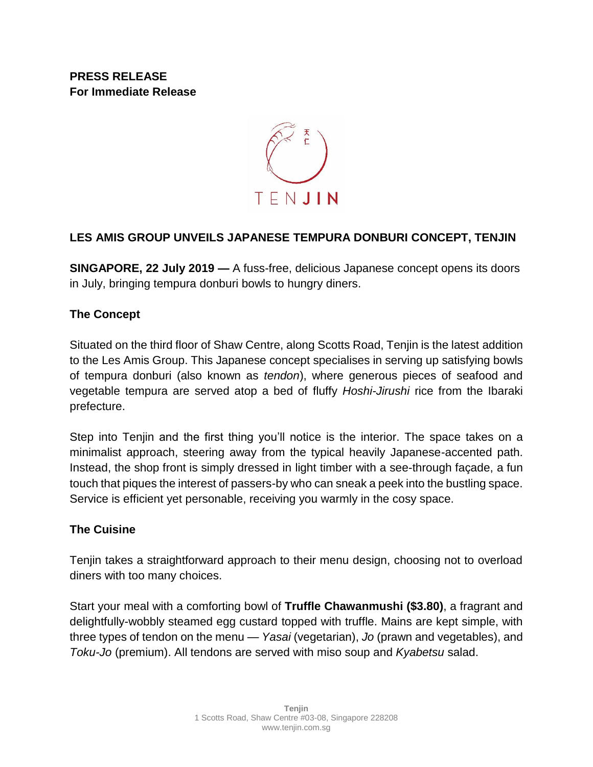**PRESS RELEASE For Immediate Release** 



# **LES AMIS GROUP UNVEILS JAPANESE TEMPURA DONBURI CONCEPT, TENJIN**

**SINGAPORE, 22 July 2019 —** A fuss-free, delicious Japanese concept opens its doors in July, bringing tempura donburi bowls to hungry diners.

# **The Concept**

Situated on the third floor of Shaw Centre, along Scotts Road, Tenjin is the latest addition to the Les Amis Group. This Japanese concept specialises in serving up satisfying bowls of tempura donburi (also known as *tendon*), where generous pieces of seafood and vegetable tempura are served atop a bed of fluffy *Hoshi-Jirushi* rice from the Ibaraki prefecture.

Step into Tenjin and the first thing you'll notice is the interior. The space takes on a minimalist approach, steering away from the typical heavily Japanese-accented path. Instead, the shop front is simply dressed in light timber with a see-through façade, a fun touch that piques the interest of passers-by who can sneak a peek into the bustling space. Service is efficient yet personable, receiving you warmly in the cosy space.

## **The Cuisine**

Tenjin takes a straightforward approach to their menu design, choosing not to overload diners with too many choices.

Start your meal with a comforting bowl of **Truffle Chawanmushi (\$3.80)**, a fragrant and delightfully-wobbly steamed egg custard topped with truffle. Mains are kept simple, with three types of tendon on the menu — *Yasai* (vegetarian), *Jo* (prawn and vegetables), and *Toku-Jo* (premium). All tendons are served with miso soup and *Kyabetsu* salad.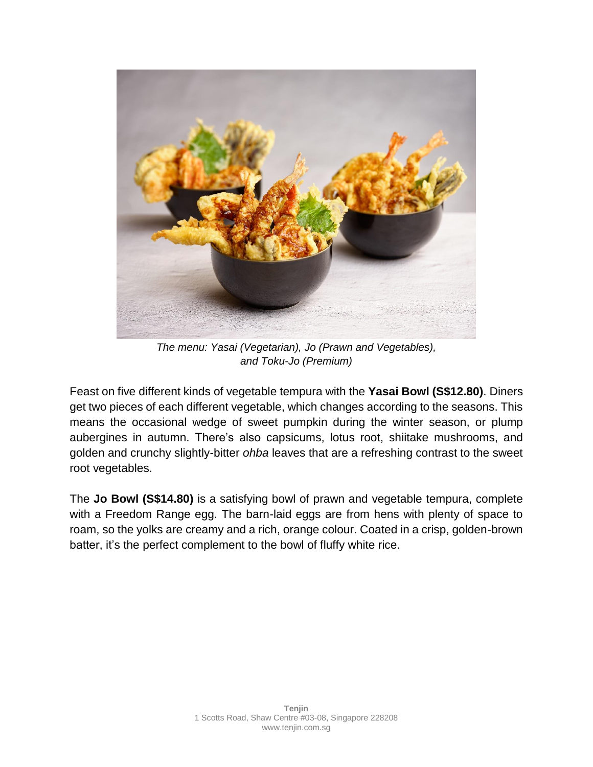

*The menu: Yasai (Vegetarian), Jo (Prawn and Vegetables), and Toku-Jo (Premium)*

Feast on five different kinds of vegetable tempura with the **Yasai Bowl (S\$12.80)**. Diners get two pieces of each different vegetable, which changes according to the seasons. This means the occasional wedge of sweet pumpkin during the winter season, or plump aubergines in autumn. There's also capsicums, lotus root, shiitake mushrooms, and golden and crunchy slightly-bitter *ohba* leaves that are a refreshing contrast to the sweet root vegetables.

The **Jo Bowl (S\$14.80)** is a satisfying bowl of prawn and vegetable tempura, complete with a Freedom Range egg. The barn-laid eggs are from hens with plenty of space to roam, so the yolks are creamy and a rich, orange colour. Coated in a crisp, golden-brown batter, it's the perfect complement to the bowl of fluffy white rice.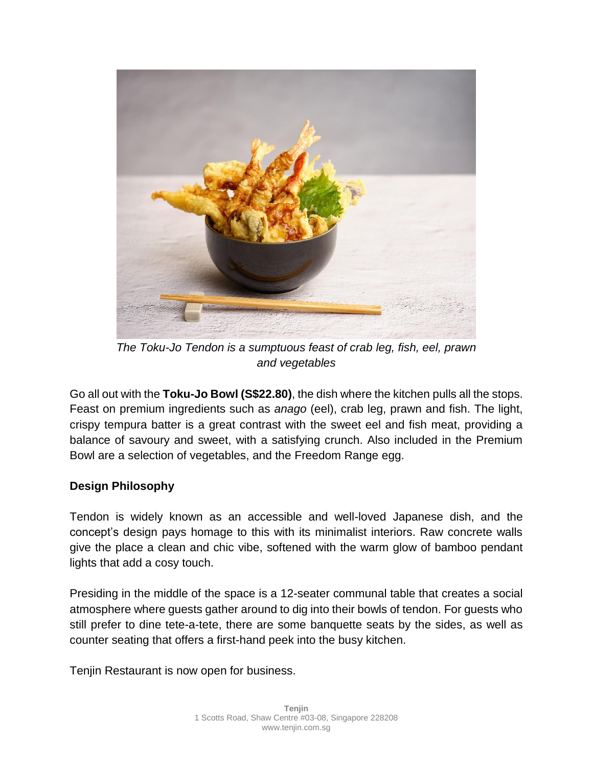

*The Toku-Jo Tendon is a sumptuous feast of crab leg, fish, eel, prawn and vegetables*

Go all out with the **Toku-Jo Bowl (S\$22.80)**, the dish where the kitchen pulls all the stops. Feast on premium ingredients such as *anago* (eel), crab leg, prawn and fish. The light, crispy tempura batter is a great contrast with the sweet eel and fish meat, providing a balance of savoury and sweet, with a satisfying crunch. Also included in the Premium Bowl are a selection of vegetables, and the Freedom Range egg.

## **Design Philosophy**

Tendon is widely known as an accessible and well-loved Japanese dish, and the concept's design pays homage to this with its minimalist interiors. Raw concrete walls give the place a clean and chic vibe, softened with the warm glow of bamboo pendant lights that add a cosy touch.

Presiding in the middle of the space is a 12-seater communal table that creates a social atmosphere where guests gather around to dig into their bowls of tendon. For guests who still prefer to dine tete-a-tete, there are some banquette seats by the sides, as well as counter seating that offers a first-hand peek into the busy kitchen.

Tenjin Restaurant is now open for business.